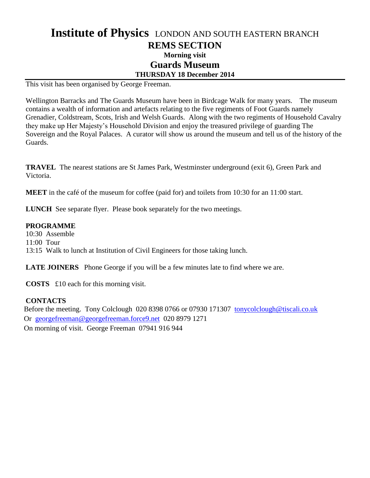## **Institute of Physics** LONDON AND SOUTH EASTERN BRANCH **REMS SECTION Morning visit Guards Museum THURSDAY 18 December 2014**

This visit has been organised by George Freeman.

Wellington Barracks and The Guards Museum have been in Birdcage Walk for many years. The museum contains a wealth of information and artefacts relating to the five regiments of Foot Guards namely Grenadier, Coldstream, Scots, Irish and Welsh Guards. Along with the two regiments of Household Cavalry they make up Her Majesty's Household Division and enjoy the treasured privilege of guarding The Sovereign and the Royal Palaces. A curator will show us around the museum and tell us of the history of the Guards.

**TRAVEL** The nearest stations are St James Park, Westminster underground (exit 6), Green Park and Victoria.

**MEET** in the café of the museum for coffee (paid for) and toilets from 10:30 for an 11:00 start.

**LUNCH** See separate flyer. Please book separately for the two meetings.

## **PROGRAMME**

10:30 Assemble 11:00 Tour 13:15 Walk to lunch at Institution of Civil Engineers for those taking lunch.

**LATE JOINERS** Phone George if you will be a few minutes late to find where we are.

**COSTS** £10 each for this morning visit.

## **CONTACTS**

Before the meeting. Tony Colclough 020 8398 0766 or 07930 171307 [tonycolclough@tiscali.co.uk](mailto:tonycolclough@tiscali.co.uk) Or [georgefreeman@georgefreeman.force9.net](mailto:georgefreeman@georgefreeman.force9.net) 020 8979 1271 On morning of visit. George Freeman 07941 916 944